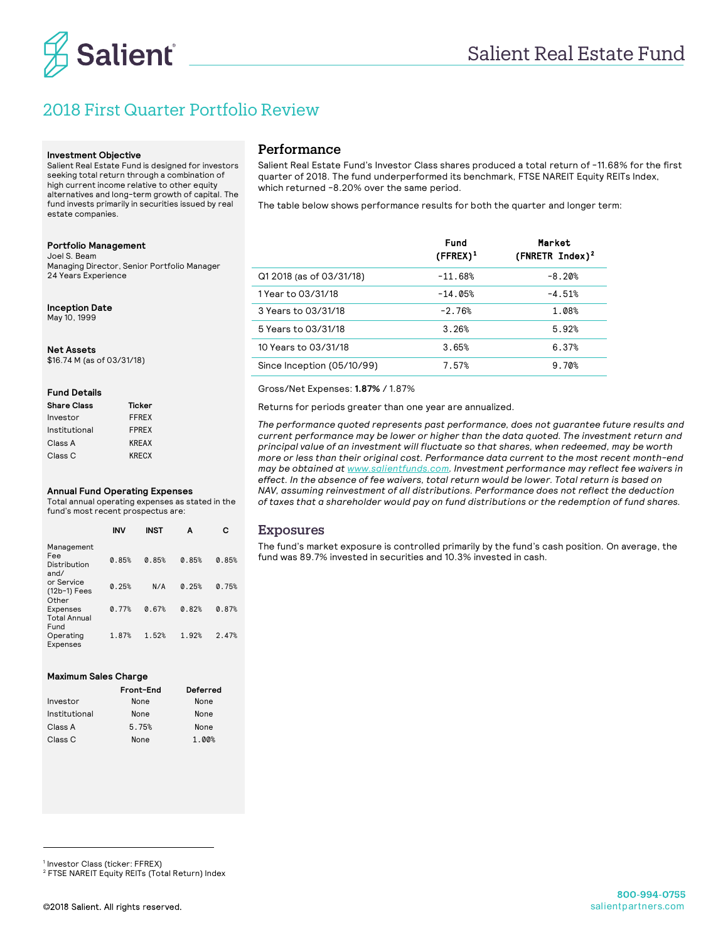

# 2018 First Quarter Portfolio Review

#### **Investment Objective**

Salient Real Estate Fund is designed for investors seeking total return through a combination of high current income relative to other equity alternatives and long-term growth of capital. The fund invests primarily in securities issued by real estate companies.

### **Portfolio Management**

Joel S. Beam Managing Director, Senior Portfolio Manager 24 Years Experience

### **Inception Date**

May 10, 1999

### **Net Assets**

\$16.74 M (as of 03/31/18)

### **Fund Details**

| <b>Share Class</b> | Ticker       |
|--------------------|--------------|
| Investor           | <b>FFREX</b> |
| Institutional      | <b>FPRFX</b> |
| Class A            | <b>KREAX</b> |
| Class C            | <b>KRECX</b> |

#### **Annual Fund Operating Expenses**

Total annual operating expenses as stated in the fund's most recent prospectus are:

|                                           | <b>INV</b> | <b>INST</b> | А     | с     |
|-------------------------------------------|------------|-------------|-------|-------|
| Management<br>Fee<br>Distribution<br>and/ | 0.85%      | 0.85%       | 0.85% | 0.85% |
| or Service<br>(12b-1) Fees<br>Other       | 0.25%      | N/A         | 0.25% | 0.75% |
| Expenses<br><b>Total Annual</b><br>Fund   | 0.77%      | 0.67%       | 0.82% | 0.87% |
| Operating<br>Expenses                     | 1.87%      | 1.52%       | 1.92% | 2.47% |

### **Maximum Sales Charge**

|               | Front-End | Deferred |
|---------------|-----------|----------|
| Investor      | None      | None     |
| Institutional | None      | None     |
| Class A       | 5.75%     | None     |
| Class C       | None      | 1.00%    |

## Performance

Salient Real Estate Fund's Investor Class shares produced a total return of -11.68% for the first quarter of 2018. The fund underperformed its benchmark, FTSE NAREIT Equity REITs Index, which returned -8.20% over the same period.

The table below shows performance results for both the quarter and longer term:

|                            | <b>Fund</b><br>$(FFREX)^1$ | Market<br>$(FNRETR Index)^2$ |
|----------------------------|----------------------------|------------------------------|
| Q1 2018 (as of 03/31/18)   | $-11.68%$                  | $-8.20%$                     |
| 1 Year to 03/31/18         | $-14.05%$                  | $-4.51%$                     |
| 3 Years to 03/31/18        | $-2.76%$                   | 1.08%                        |
| 5 Years to 03/31/18        | 3.26%                      | 5.92%                        |
| 10 Years to 03/31/18       | 3.65%                      | 6.37%                        |
| Since Inception (05/10/99) | 7.57%                      | 9.70%                        |

### Gross/Net Expenses: **1.87%** / 1.87%

Returns for periods greater than one year are annualized.

*The performance quoted represents past performance, does not guarantee future results and current performance may be lower or higher than the data quoted. The investment return and principal value of an investment will fluctuate so that shares, when redeemed, may be worth more or less than their original cost. Performance data current to the most recent month-end may be obtained at www.salientfunds.com. Investment performance may reflect fee waivers in effect. In the absence of fee waivers, total return would be lower. Total return is based on NAV, assuming reinvestment of all distributions. Performance does not reflect the deduction of taxes that a shareholder would pay on fund distributions or the redemption of fund shares.*

### Exposures

The fund's market exposure is controlled primarily by the fund's cash position. On average, the fund was 89.7% invested in securities and 10.3% invested in cash.

-

<sup>2</sup> FTSE NAREIT Equity REITs (Total Return) Index

<sup>&</sup>lt;sup>1</sup> Investor Class (ticker: FFREX)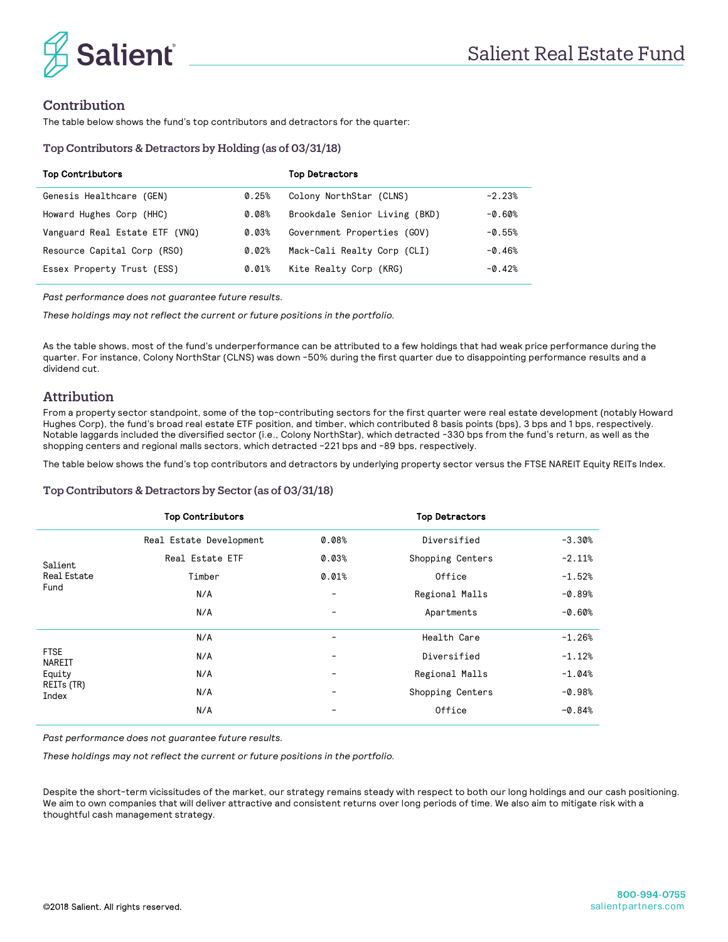



# Contribution

The table below shows the fund's top contributors and detractors for the quarter:

### Top Contributors & Detractors by Holding (as of 03/31/18)

| <b>Top Contributors</b>        |       | <b>Top Detractors</b>         |          |
|--------------------------------|-------|-------------------------------|----------|
| Genesis Healthcare (GEN)       | 0.25% | Colony NorthStar (CLNS)       | $-2.23%$ |
| Howard Hughes Corp (HHC)       | 0.08% | Brookdale Senior Living (BKD) | $-0.60%$ |
| Vanguard Real Estate ETF (VNQ) | 0.03% | Government Properties (GOV)   | $-0.55%$ |
| Resource Capital Corp (RSO)    | 0.02% | Mack-Cali Realty Corp (CLI)   | $-0.46%$ |
| Essex Property Trust (ESS)     | 0.01% | Kite Realty Corp (KRG)        | $-0.42%$ |

*Past performance does not guarantee future results.* 

*These holdings may not reflect the current or future positions in the portfolio.*

As the table shows, most of the fund's underperformance can be attributed to a few holdings that had weak price performance during the quarter. For instance, Colony NorthStar (CLNS) was down -50% during the first quarter due to disappointing performance results and a dividend cut.

### Attribution

From a property sector standpoint, some of the top-contributing sectors for the first quarter were real estate development (notably Howard Hughes Corp), the fund's broad real estate ETF position, and timber, which contributed 8 basis points (bps), 3 bps and 1 bps, respectively. Notable laggards included the diversified sector (i.e., Colony NorthStar), which detracted -330 bps from the fund's return, as well as the shopping centers and regional malls sectors, which detracted -221 bps and -89 bps, respectively.

The table below shows the fund's top contributors and detractors by underlying property sector versus the FTSE NAREIT Equity REITs Index.

### Top Contributors & Detractors by Sector (as of 03/31/18)

|                                                        | <b>Top Contributors</b> |       | <b>Top Detractors</b> |          |
|--------------------------------------------------------|-------------------------|-------|-----------------------|----------|
|                                                        | Real Estate Development | 0.08% | Diversified           | $-3.30%$ |
| Salient                                                | Real Estate ETF         | 0.03% | Shopping Centers      | $-2.11%$ |
| <b>Real Estate</b>                                     | Timber                  | 0.01% | Office                | $-1.52%$ |
| Fund                                                   | N/A                     | -     | Regional Malls        | $-0.89%$ |
|                                                        | N/A                     | -     | Apartments            | $-0.60%$ |
| <b>FTSE</b><br>NAREIT<br>Equity<br>REITs (TR)<br>Index | N/A                     | ۰     | Health Care           | $-1.26%$ |
|                                                        | N/A                     | -     | Diversified           | $-1.12%$ |
|                                                        | N/A                     | -     | Regional Malls        | $-1.04%$ |
|                                                        | N/A                     | -     | Shopping Centers      | $-0.98%$ |
|                                                        | N/A                     | ۰     | Office                | $-0.84%$ |

*Past performance does not guarantee future results.*

*These holdings may not reflect the current or future positions in the portfolio.*

Despite the short-term vicissitudes of the market, our strategy remains steady with respect to both our long holdings and our cash positioning. We aim to own companies that will deliver attractive and consistent returns over long periods of time. We also aim to mitigate risk with a thoughtful cash management strategy.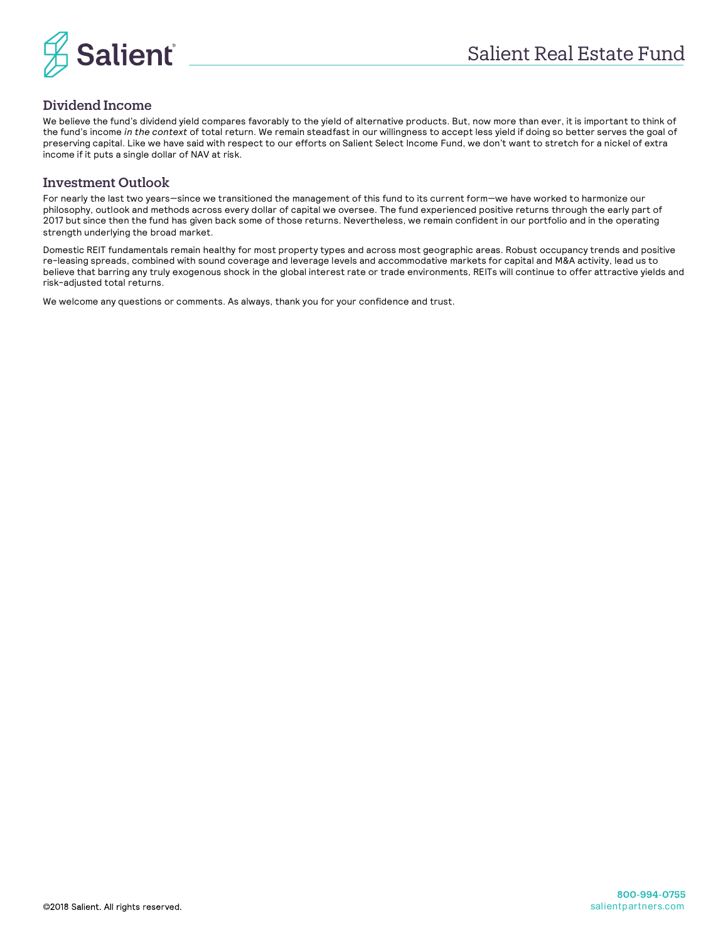

# Dividend Income

We believe the fund's dividend yield compares favorably to the yield of alternative products. But, now more than ever, it is important to think of the fund's income *in the context* of total return. We remain steadfast in our willingness to accept less yield if doing so better serves the goal of preserving capital. Like we have said with respect to our efforts on Salient Select Income Fund, we don't want to stretch for a nickel of extra income if it puts a single dollar of NAV at risk.

# Investment Outlook

For nearly the last two years—since we transitioned the management of this fund to its current form—we have worked to harmonize our philosophy, outlook and methods across every dollar of capital we oversee. The fund experienced positive returns through the early part of 2017 but since then the fund has given back some of those returns. Nevertheless, we remain confident in our portfolio and in the operating strength underlying the broad market.

Domestic REIT fundamentals remain healthy for most property types and across most geographic areas. Robust occupancy trends and positive re-leasing spreads, combined with sound coverage and leverage levels and accommodative markets for capital and M&A activity, lead us to believe that barring any truly exogenous shock in the global interest rate or trade environments, REITs will continue to offer attractive yields and risk-adjusted total returns.

We welcome any questions or comments. As always, thank you for your confidence and trust.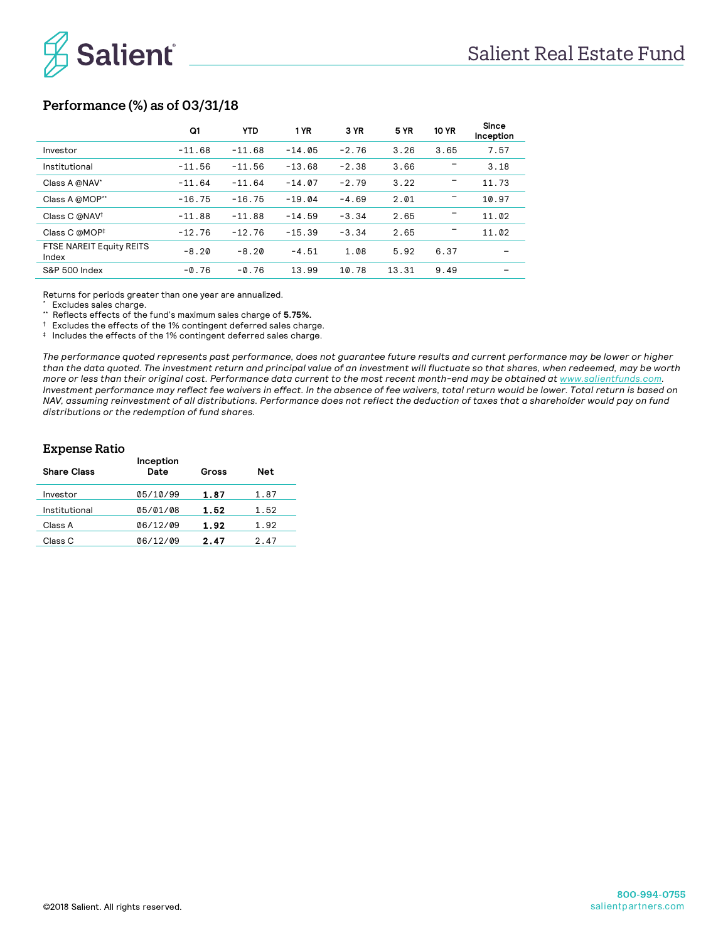

# Performance (%) as of 03/31/18

|                                   | Q1       | <b>YTD</b> | 1 YR     | 3 YR    | <b>5 YR</b> | <b>10 YR</b> | Since<br>Inception |
|-----------------------------------|----------|------------|----------|---------|-------------|--------------|--------------------|
| Investor                          | $-11.68$ | $-11.68$   | $-14.05$ | $-2.76$ | 3.26        | 3.65         | 7.57               |
| Institutional                     | $-11.56$ | $-11.56$   | $-13.68$ | $-2.38$ | 3.66        |              | 3.18               |
| Class A @NAV*                     | $-11.64$ | $-11.64$   | $-14.07$ | $-2.79$ | 3.22        |              | 11.73              |
| Class A @MOP**                    | $-16.75$ | $-16.75$   | $-19.04$ | $-4.69$ | 2.01        |              | 10.97              |
| Class C @NAV <sup>†</sup>         | $-11.88$ | $-11.88$   | $-14.59$ | $-3.34$ | 2.65        |              | 11.02              |
| Class C @MOP <sup>‡</sup>         | $-12.76$ | $-12.76$   | $-15.39$ | $-3.34$ | 2.65        |              | 11.02              |
| FTSE NAREIT Equity REITS<br>Index | $-8.20$  | $-8.20$    | $-4.51$  | 1.08    | 5.92        | 6.37         |                    |
| S&P 500 Index                     | $-0.76$  | $-0.76$    | 13.99    | 10.78   | 13.31       | 9.49         |                    |

Returns for periods greater than one year are annualized.

\* \* Excludes sales charge.

\*\* Reflects effects of the fund's maximum sales charge of **5.75%.**

† Excludes the effects of the 1% contingent deferred sales charge.

‡ Includes the effects of the 1% contingent deferred sales charge.

*The performance quoted represents past performance, does not guarantee future results and current performance may be lower or higher than the data quoted. The investment return and principal value of an investment will fluctuate so that shares, when redeemed, may be worth more or less than their original cost. Performance data current to the most recent month-end may be obtained at www.salientfunds.com. Investment performance may reflect fee waivers in effect. In the absence of fee waivers, total return would be lower. Total return is based on NAV, assuming reinvestment of all distributions. Performance does not reflect the deduction of taxes that a shareholder would pay on fund distributions or the redemption of fund shares.*

### Expense Ratio

| <b>Share Class</b> | Inception<br>Date | Gross | <b>Net</b> |  |
|--------------------|-------------------|-------|------------|--|
| Investor           | 05/10/99          | 1.87  | 1.87       |  |
| Institutional      | 05/01/08          | 1.52  | 1.52       |  |
| Class A            | 06/12/09          | 1.92  | 1.92       |  |
| Class C            | 06/12/09          | 2.47  | 2.47       |  |
|                    |                   |       |            |  |